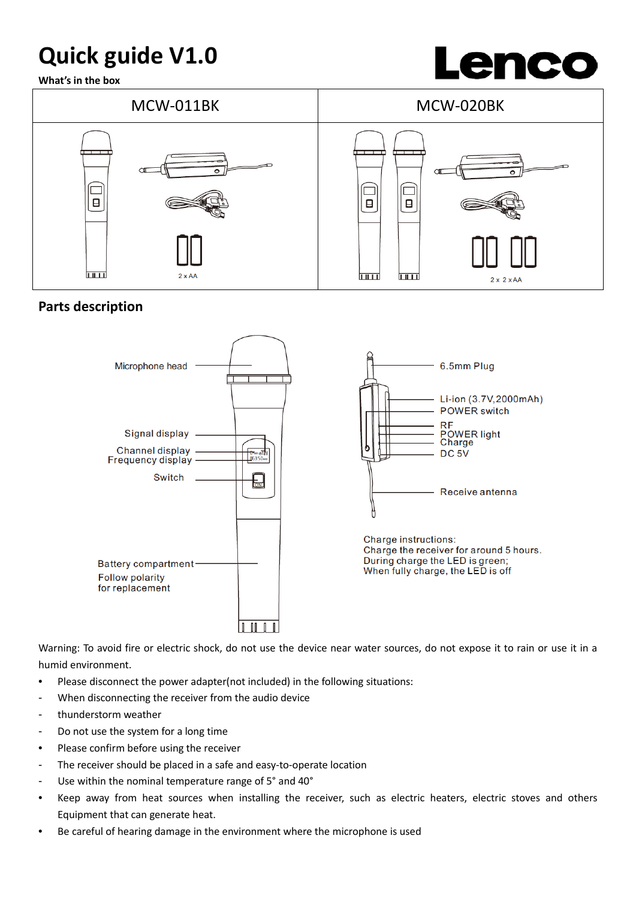# **Quick guide V1.0**

**What's in the box**





# **Parts description**



Warning: To avoid fire or electric shock, do not use the device near water sources, do not expose it to rain or use it in a humid environment.

- Please disconnect the power adapter(not included) in the following situations:
- When disconnecting the receiver from the audio device
- thunderstorm weather
- Do not use the system for a long time
- Please confirm before using the receiver
- The receiver should be placed in a safe and easy-to-operate location
- Use within the nominal temperature range of 5° and 40°
- Keep away from heat sources when installing the receiver, such as electric heaters, electric stoves and others Equipment that can generate heat.
- Be careful of hearing damage in the environment where the microphone is used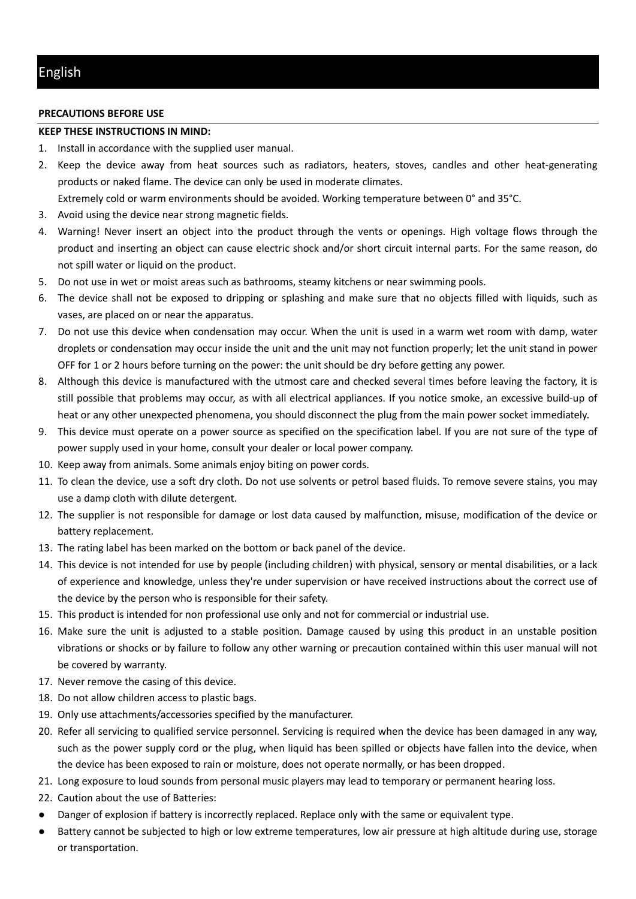### **PRECAUTIONS BEFORE USE**

#### **KEEP THESE INSTRUCTIONS IN MIND:**

- 1. Install in accordance with the supplied user manual.
- 2. Keep the device away from heat sources such as radiators, heaters, stoves, candles and other heat-generating products or naked flame. The device can only be used in moderate climates.
	- Extremely cold or warm environments should be avoided. Working temperature between 0° and 35°C.
- 3. Avoid using the device near strong magnetic fields.
- 4. Warning! Never insert an object into the product through the vents or openings. High voltage flows through the product and inserting an object can cause electric shock and/or short circuit internal parts. For the same reason, do not spill water or liquid on the product.
- 5. Do not use in wet or moist areas such as bathrooms, steamy kitchens or near swimming pools.
- 6. The device shall not be exposed to dripping or splashing and make sure that no objects filled with liquids, such as vases, are placed on or near the apparatus.
- 7. Do not use this device when condensation may occur. When the unit is used in a warm wet room with damp, water droplets or condensation may occur inside the unit and the unit may not function properly; let the unit stand in power OFF for 1 or 2 hours before turning on the power: the unit should be dry before getting any power.
- 8. Although this device is manufactured with the utmost care and checked several times before leaving the factory, it is still possible that problems may occur, as with all electrical appliances. If you notice smoke, an excessive build-up of heat or any other unexpected phenomena, you should disconnect the plug from the main power socket immediately.
- 9. This device must operate on a power source as specified on the specification label. If you are not sure of the type of power supply used in your home, consult your dealer or local power company.
- 10. Keep away from animals. Some animals enjoy biting on power cords.
- 11. To clean the device, use a soft dry cloth. Do not use solvents or petrol based fluids. To remove severe stains, you may use a damp cloth with dilute detergent.
- 12. The supplier is not responsible for damage or lost data caused by malfunction, misuse, modification of the device or battery replacement.
- 13. The rating label has been marked on the bottom or back panel of the device.
- 14. This device is not intended for use by people (including children) with physical, sensory or mental disabilities, or a lack of experience and knowledge, unless they're under supervision or have received instructions about the correct use of the device by the person who is responsible for their safety.
- 15. This product is intended for non professional use only and not for commercial or industrial use.
- 16. Make sure the unit is adjusted to a stable position. Damage caused by using this product in an unstable position vibrations or shocks or by failure to follow any other warning or precaution contained within this user manual will not be covered by warranty.
- 17. Never remove the casing of this device.
- 18. Do not allow children access to plastic bags.
- 19. Only use attachments/accessories specified by the manufacturer.
- 20. Refer all servicing to qualified service personnel. Servicing is required when the device has been damaged in any way, such as the power supply cord or the plug, when liquid has been spilled or objects have fallen into the device, when the device has been exposed to rain or moisture, does not operate normally, or has been dropped.
- 21. Long exposure to loud sounds from personal music players may lead to temporary or permanent hearing loss.
- 22. Caution about the use of Batteries:
- Danger of explosion if battery is incorrectly replaced. Replace only with the same or equivalent type.
- Battery cannot be subjected to high or low extreme temperatures, low air pressure at high altitude during use, storage or transportation.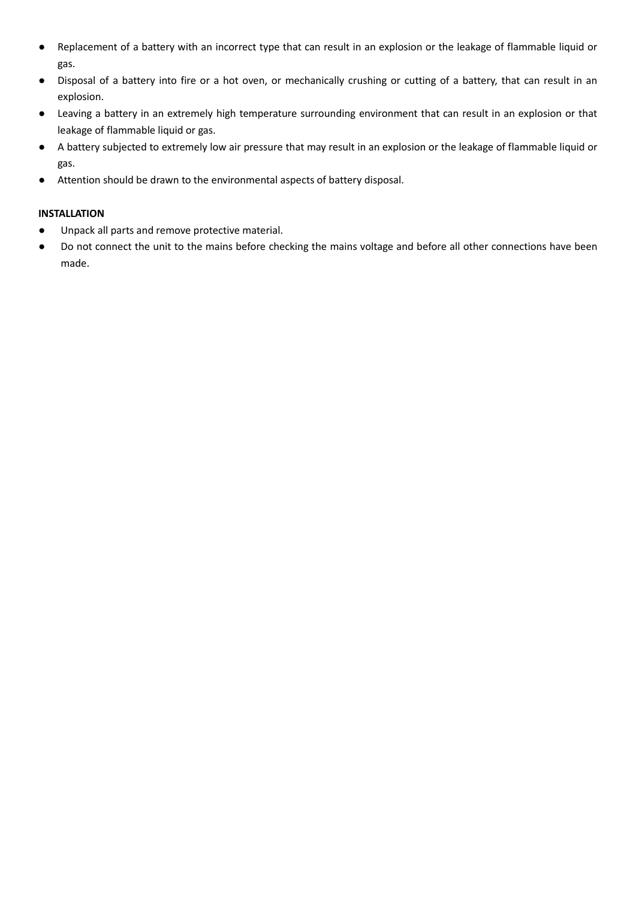- Replacement of a battery with an incorrect type that can result in an explosion or the leakage of flammable liquid or gas.
- Disposal of a battery into fire or a hot oven, or mechanically crushing or cutting of a battery, that can result in an explosion.
- Leaving a battery in an extremely high temperature surrounding environment that can result in an explosion or that leakage of flammable liquid or gas.
- A battery subjected to extremely low air pressure that may result in an explosion or the leakage of flammable liquid or gas.
- Attention should be drawn to the environmental aspects of battery disposal.

# **INSTALLATION**

- Unpack all parts and remove protective material.
- Do not connect the unit to the mains before checking the mains voltage and before all other connections have been made.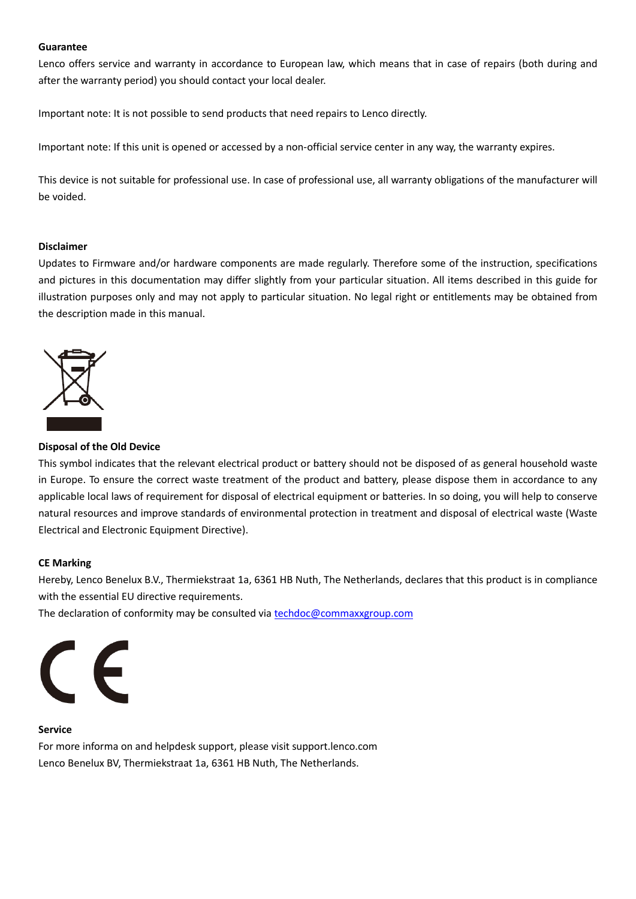### **Guarantee**

Lenco offers service and warranty in accordance to European law, which means that in case of repairs (both during and after the warranty period) you should contact your local dealer.

Important note: It is not possible to send products that need repairs to Lenco directly.

Important note: If this unit is opened or accessed by a non-official service center in any way, the warranty expires.

This device is not suitable for professional use. In case of professional use, all warranty obligations of the manufacturer will be voided.

#### **Disclaimer**

Updates to Firmware and/or hardware components are made regularly. Therefore some of the instruction, specifications and pictures in this documentation may differ slightly from your particular situation. All items described in this guide for illustration purposes only and may not apply to particular situation. No legal right or entitlements may be obtained from the description made in this manual.



# **Disposal of the Old Device**

This symbol indicates that the relevant electrical product or battery should not be disposed of as general household waste in Europe. To ensure the correct waste treatment of the product and battery, please dispose them in accordance to any applicable local laws of requirement for disposal of electrical equipment or batteries. In so doing, you will help to conserve natural resources and improve standards of environmental protection in treatment and disposal of electrical waste (Waste Electrical and Electronic Equipment Directive).

# **CE Marking**

Hereby, Lenco Benelux B.V., Thermiekstraat 1a, 6361 HB Nuth, The Netherlands, declares that this product is in compliance with the essential EU directive requirements.

The declaration of conformity may be consulted via techdoc@commaxxgroup.com



#### **Service**

For more informa on and helpdesk support, please visit support.lenco.com Lenco Benelux BV, Thermiekstraat 1a, 6361 HB Nuth, The Netherlands.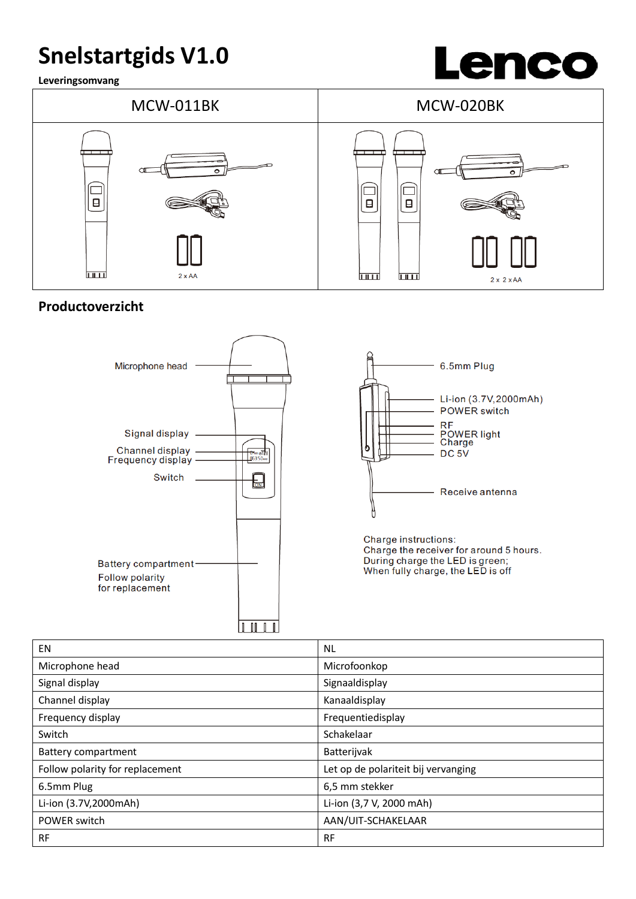# **Snelstartgids V1.0**

**Leveringsomvang**





# **Productoverzicht**





Charge the receiver for around 5 hours. During charge the LED is green;<br>When fully charge, the LED is off

| EN                              | <b>NL</b>                           |
|---------------------------------|-------------------------------------|
| Microphone head                 | Microfoonkop                        |
| Signal display                  | Signaaldisplay                      |
| Channel display                 | Kanaaldisplay                       |
| Frequency display               | Frequentiedisplay                   |
| Switch                          | Schakelaar                          |
| <b>Battery compartment</b>      | Batterijvak                         |
| Follow polarity for replacement | Let op de polariteit bij vervanging |
| 6.5mm Plug                      | 6,5 mm stekker                      |
| Li-ion (3.7V,2000mAh)           | Li-ion (3,7 V, 2000 mAh)            |
| POWER switch                    | AAN/UIT-SCHAKELAAR                  |
| <b>RF</b>                       | <b>RF</b>                           |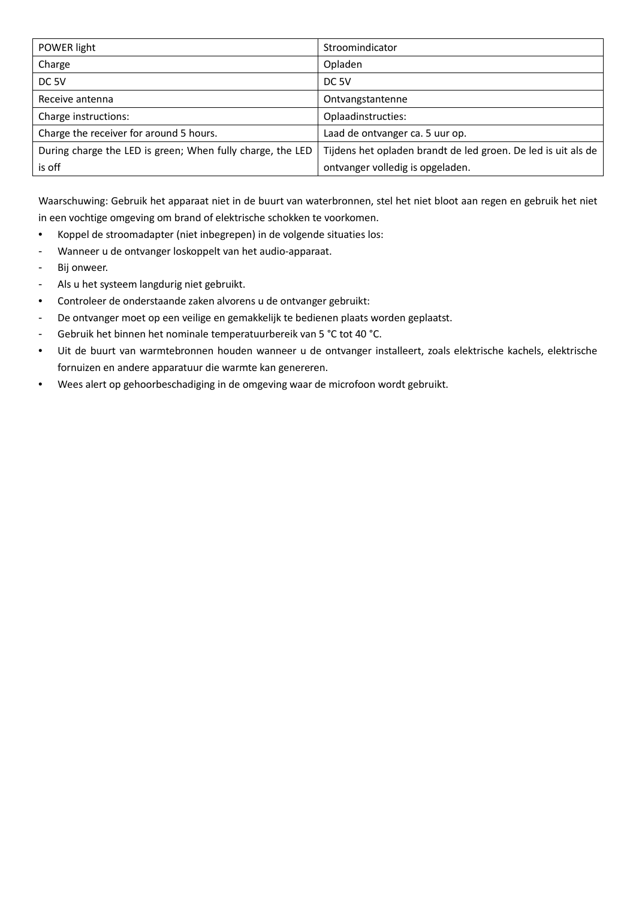| POWER light                                                | Stroomindicator                                               |
|------------------------------------------------------------|---------------------------------------------------------------|
| Charge                                                     | Opladen                                                       |
| DC <sub>5V</sub>                                           | DC <sub>5V</sub>                                              |
| Receive antenna                                            | Ontvangstantenne                                              |
| Charge instructions:                                       | Oplaadinstructies:                                            |
| Charge the receiver for around 5 hours.                    | Laad de ontvanger ca. 5 uur op.                               |
| During charge the LED is green; When fully charge, the LED | Tijdens het opladen brandt de led groen. De led is uit als de |
| is off                                                     | ontvanger volledig is opgeladen.                              |

Waarschuwing: Gebruik het apparaat niet in de buurt van waterbronnen, stel het niet bloot aan regen en gebruik het niet in een vochtige omgeving om brand of elektrische schokken te voorkomen.

- Koppel de stroomadapter (niet inbegrepen) in de volgende situaties los:
- Wanneer u de ontvanger loskoppelt van het audio-apparaat.
- Bij onweer.
- Als u het systeem langdurig niet gebruikt.
- Controleer de onderstaande zaken alvorens u de ontvanger gebruikt:
- De ontvanger moet op een veilige en gemakkelijk te bedienen plaats worden geplaatst.
- Gebruik het binnen het nominale temperatuurbereik van 5 °C tot 40 °C.
- Uit de buurt van warmtebronnen houden wanneer u de ontvanger installeert, zoals elektrische kachels, elektrische fornuizen en andere apparatuur die warmte kan genereren.
- Wees alert op gehoorbeschadiging in de omgeving waar de microfoon wordt gebruikt.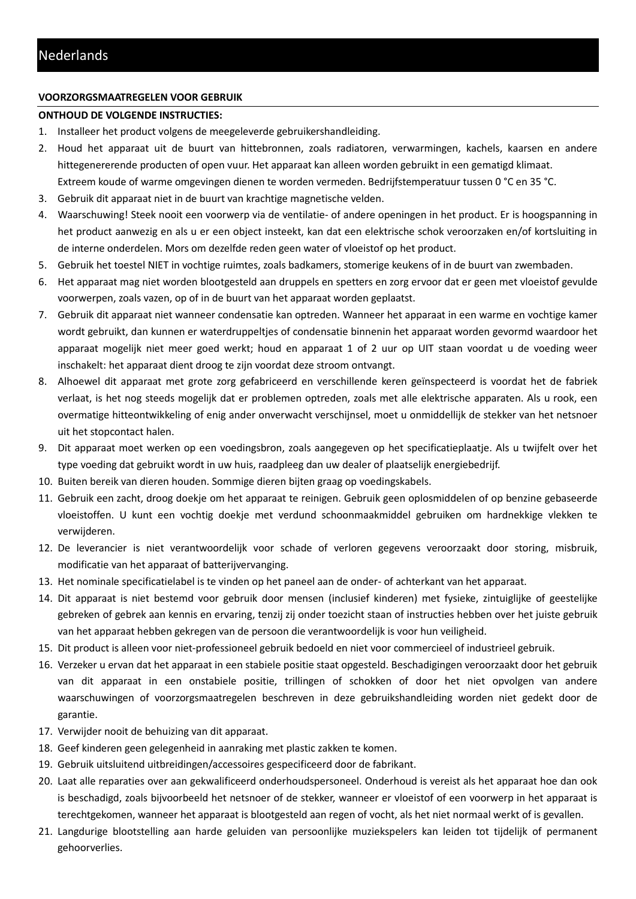# **VOORZORGSMAATREGELEN VOOR GEBRUIK**

# **ONTHOUD DE VOLGENDE INSTRUCTIES:**

- 1. Installeer het product volgens de meegeleverde gebruikershandleiding.
- 2. Houd het apparaat uit de buurt van hittebronnen, zoals radiatoren, verwarmingen, kachels, kaarsen en andere hittegenererende producten of open vuur. Het apparaat kan alleen worden gebruikt in een gematigd klimaat. Extreem koude of warme omgevingen dienen te worden vermeden. Bedrijfstemperatuur tussen 0 °C en 35 °C.
- 3. Gebruik dit apparaat niet in de buurt van krachtige magnetische velden.
- 4. Waarschuwing! Steek nooit een voorwerp via de ventilatie- of andere openingen in het product. Er is hoogspanning in het product aanwezig en als u er een object insteekt, kan dat een elektrische schok veroorzaken en/of kortsluiting in de interne onderdelen. Mors om dezelfde reden geen water of vloeistof op het product.
- 5. Gebruik het toestel NIET in vochtige ruimtes, zoals badkamers, stomerige keukens of in de buurt van zwembaden.
- 6. Het apparaat mag niet worden blootgesteld aan druppels en spetters en zorg ervoor dat er geen met vloeistof gevulde voorwerpen, zoals vazen, op of in de buurt van het apparaat worden geplaatst.
- 7. Gebruik dit apparaat niet wanneer condensatie kan optreden. Wanneer het apparaat in een warme en vochtige kamer wordt gebruikt, dan kunnen er waterdruppeltjes of condensatie binnenin het apparaat worden gevormd waardoor het apparaat mogelijk niet meer goed werkt; houd en apparaat 1 of 2 uur op UIT staan voordat u de voeding weer inschakelt: het apparaat dient droog te zijn voordat deze stroom ontvangt.
- 8. Alhoewel dit apparaat met grote zorg gefabriceerd en verschillende keren geïnspecteerd is voordat het de fabriek verlaat, is het nog steeds mogelijk dat er problemen optreden, zoals met alle elektrische apparaten. Als u rook, een overmatige hitteontwikkeling of enig ander onverwacht verschijnsel, moet u onmiddellijk de stekker van het netsnoer uit het stopcontact halen.
- 9. Dit apparaat moet werken op een voedingsbron, zoals aangegeven op het specificatieplaatje. Als u twijfelt over het type voeding dat gebruikt wordt in uw huis, raadpleeg dan uw dealer of plaatselijk energiebedrijf.
- 10. Buiten bereik van dieren houden. Sommige dieren bijten graag op voedingskabels.
- 11. Gebruik een zacht, droog doekje om het apparaat te reinigen. Gebruik geen oplosmiddelen of op benzine gebaseerde vloeistoffen. U kunt een vochtig doekje met verdund schoonmaakmiddel gebruiken om hardnekkige vlekken te verwijderen.
- 12. De leverancier is niet verantwoordelijk voor schade of verloren gegevens veroorzaakt door storing, misbruik, modificatie van het apparaat of batterijvervanging.
- 13. Het nominale specificatielabel is te vinden op het paneel aan de onder- of achterkant van het apparaat.
- 14. Dit apparaat is niet bestemd voor gebruik door mensen (inclusief kinderen) met fysieke, zintuiglijke of geestelijke gebreken of gebrek aan kennis en ervaring, tenzij zij onder toezicht staan of instructies hebben over het juiste gebruik van het apparaat hebben gekregen van de persoon die verantwoordelijk is voor hun veiligheid.
- 15. Dit product is alleen voor niet-professioneel gebruik bedoeld en niet voor commercieel of industrieel gebruik.
- 16. Verzeker u ervan dat het apparaat in een stabiele positie staat opgesteld. Beschadigingen veroorzaakt door het gebruik van dit apparaat in een onstabiele positie, trillingen of schokken of door het niet opvolgen van andere waarschuwingen of voorzorgsmaatregelen beschreven in deze gebruikshandleiding worden niet gedekt door de garantie.
- 17. Verwijder nooit de behuizing van dit apparaat.
- 18. Geef kinderen geen gelegenheid in aanraking met plastic zakken te komen.
- 19. Gebruik uitsluitend uitbreidingen/accessoires gespecificeerd door de fabrikant.
- 20. Laat alle reparaties over aan gekwalificeerd onderhoudspersoneel. Onderhoud is vereist als het apparaat hoe dan ook is beschadigd, zoals bijvoorbeeld het netsnoer of de stekker, wanneer er vloeistof of een voorwerp in het apparaat is terechtgekomen, wanneer het apparaat is blootgesteld aan regen of vocht, als het niet normaal werkt of is gevallen.
- 21. Langdurige blootstelling aan harde geluiden van persoonlijke muziekspelers kan leiden tot tijdelijk of permanent gehoorverlies.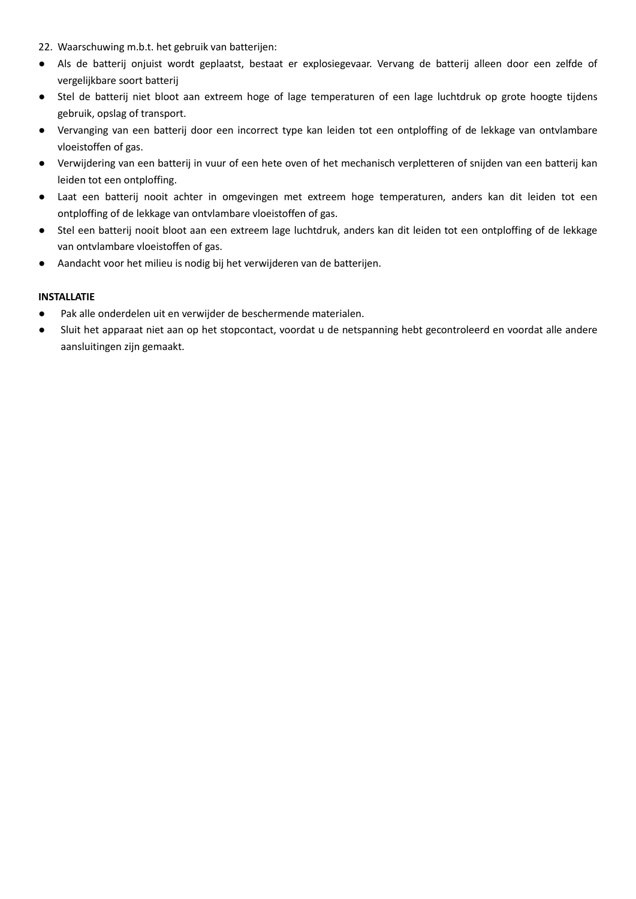- 22. Waarschuwing m.b.t. het gebruik van batterijen:
- Als de batterij onjuist wordt geplaatst, bestaat er explosiegevaar. Vervang de batterij alleen door een zelfde of vergelijkbare soort batterij
- Stel de batterij niet bloot aan extreem hoge of lage temperaturen of een lage luchtdruk op grote hoogte tijdens gebruik, opslag of transport.
- Vervanging van een batterij door een incorrect type kan leiden tot een ontploffing of de lekkage van ontvlambare vloeistoffen of gas.
- Verwijdering van een batterij in vuur of een hete oven of het mechanisch verpletteren of snijden van een batterij kan leiden tot een ontploffing.
- Laat een batterij nooit achter in omgevingen met extreem hoge temperaturen, anders kan dit leiden tot een ontploffing of de lekkage van ontvlambare vloeistoffen of gas.
- Stel een batterij nooit bloot aan een extreem lage luchtdruk, anders kan dit leiden tot een ontploffing of de lekkage van ontvlambare vloeistoffen of gas.
- Aandacht voor het milieu is nodig bij het verwijderen van de batterijen.

# **INSTALLATIE**

- Pak alle onderdelen uit en verwijder de beschermende materialen.
- Sluit het apparaat niet aan op het stopcontact, voordat u de netspanning hebt gecontroleerd en voordat alle andere aansluitingen zijn gemaakt.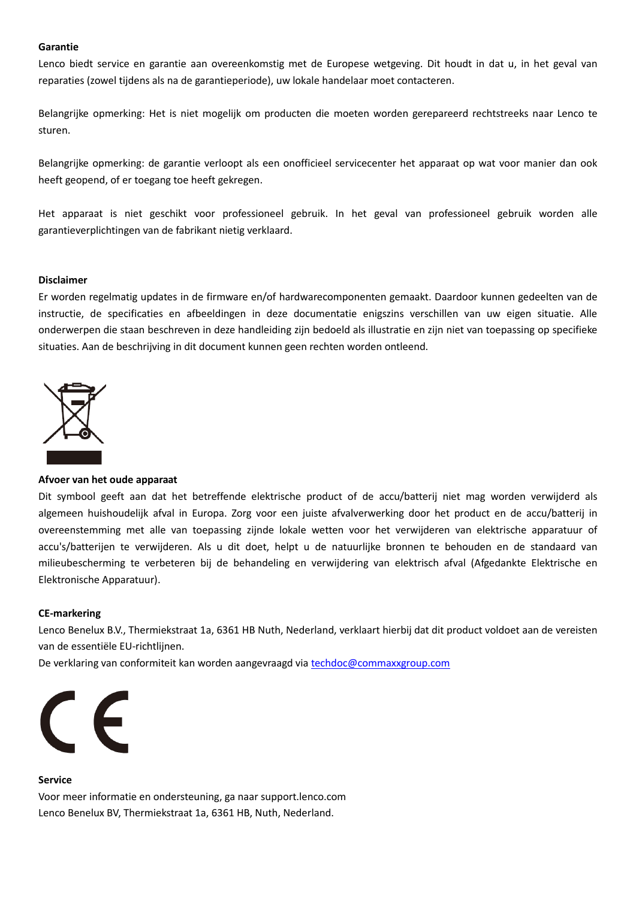#### **Garantie**

Lenco biedt service en garantie aan overeenkomstig met de Europese wetgeving. Dit houdt in dat u, in het geval van reparaties (zowel tijdens als na de garantieperiode), uw lokale handelaar moet contacteren.

Belangrijke opmerking: Het is niet mogelijk om producten die moeten worden gerepareerd rechtstreeks naar Lenco te sturen.

Belangrijke opmerking: de garantie verloopt als een onofficieel servicecenter het apparaat op wat voor manier dan ook heeft geopend, of er toegang toe heeft gekregen.

Het apparaat is niet geschikt voor professioneel gebruik. In het geval van professioneel gebruik worden alle garantieverplichtingen van de fabrikant nietig verklaard.

#### **Disclaimer**

Er worden regelmatig updates in de firmware en/of hardwarecomponenten gemaakt. Daardoor kunnen gedeelten van de instructie, de specificaties en afbeeldingen in deze documentatie enigszins verschillen van uw eigen situatie. Alle onderwerpen die staan beschreven in deze handleiding zijn bedoeld als illustratie en zijn niet van toepassing op specifieke situaties. Aan de beschrijving in dit document kunnen geen rechten worden ontleend.



#### **Afvoer van het oude apparaat**

Dit symbool geeft aan dat het betreffende elektrische product of de accu/batterij niet mag worden verwijderd als algemeen huishoudelijk afval in Europa. Zorg voor een juiste afvalverwerking door het product en de accu/batterij in overeenstemming met alle van toepassing zijnde lokale wetten voor het verwijderen van elektrische apparatuur of accu's/batterijen te verwijderen. Als u dit doet, helpt u de natuurlijke bronnen te behouden en de standaard van milieubescherming te verbeteren bij de behandeling en verwijdering van elektrisch afval (Afgedankte Elektrische en Elektronische Apparatuur).

#### **CE-markering**

Lenco Benelux B.V., Thermiekstraat 1a, 6361 HB Nuth, Nederland, verklaart hierbij dat dit product voldoet aan de vereisten van de essentiële EU-richtlijnen.

De verklaring van conformiteit kan worden aangevraagd via techdoc@commaxxgroup.com



#### **Service**

Voor meer informatie en ondersteuning, ga naar support.lenco.com Lenco Benelux BV, Thermiekstraat 1a, 6361 HB, Nuth, Nederland.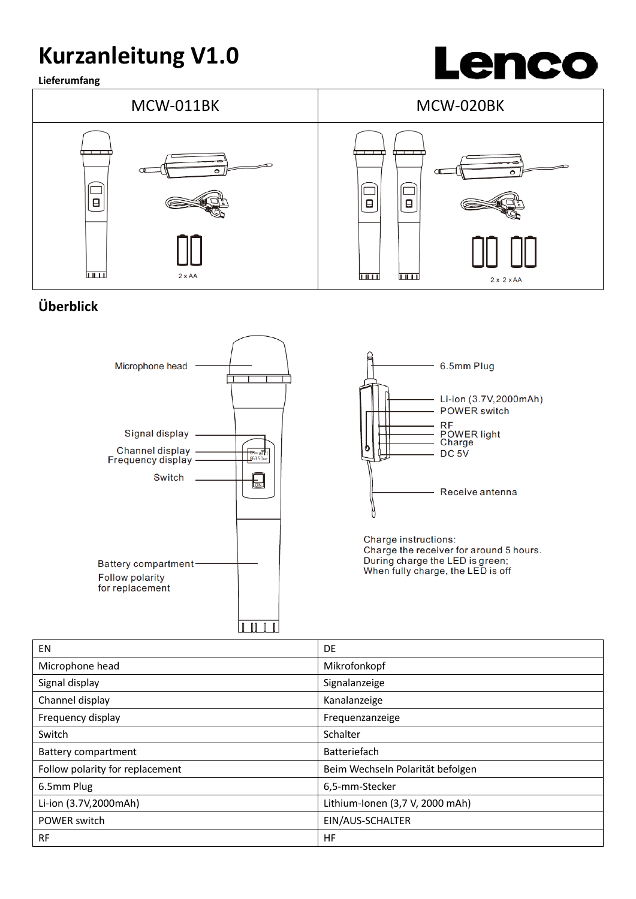# **Kurzanleitung V1.0**

**Lieferumfang**





# **Überblick**





Charge instructions: Charge the receiver for around 5 hours. During charge the LED is green;<br>When fully charge, the LED is off

| <b>EN</b>                       | DE                               |
|---------------------------------|----------------------------------|
| Microphone head                 | Mikrofonkopf                     |
| Signal display                  | Signalanzeige                    |
| Channel display                 | Kanalanzeige                     |
| Frequency display               | Frequenzanzeige                  |
| Switch                          | Schalter                         |
| <b>Battery compartment</b>      | Batteriefach                     |
| Follow polarity for replacement | Beim Wechseln Polarität befolgen |
| 6.5mm Plug                      | 6,5-mm-Stecker                   |
| Li-ion (3.7V,2000mAh)           | Lithium-Ionen (3,7 V, 2000 mAh)  |
| POWER switch                    | EIN/AUS-SCHALTER                 |
| <b>RF</b>                       | HF                               |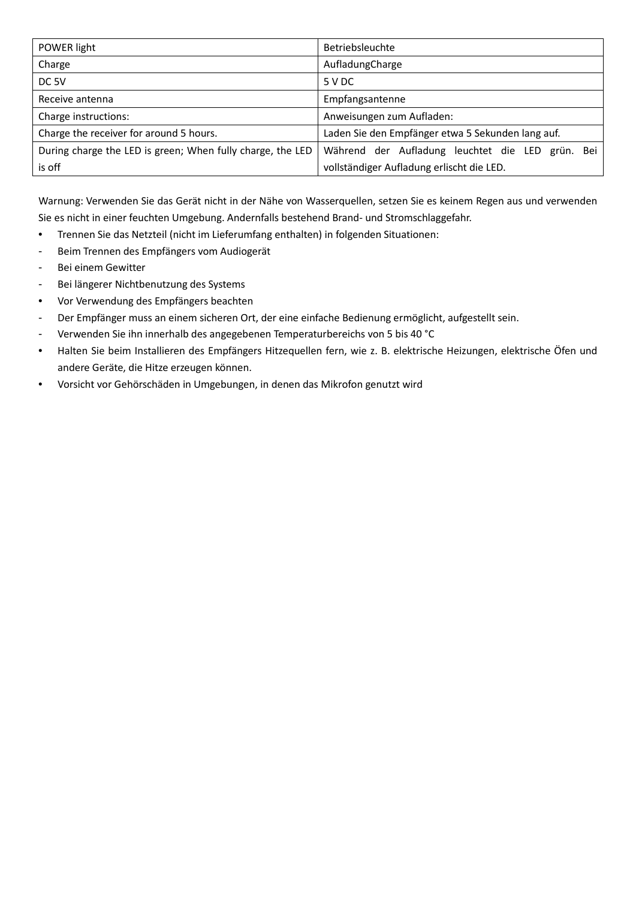| POWER light                                                | Betriebsleuchte                                   |
|------------------------------------------------------------|---------------------------------------------------|
| Charge                                                     | AufladungCharge                                   |
| DC <sub>5V</sub>                                           | 5 V DC                                            |
| Receive antenna                                            | Empfangsantenne                                   |
| Charge instructions:                                       | Anweisungen zum Aufladen:                         |
| Charge the receiver for around 5 hours.                    | Laden Sie den Empfänger etwa 5 Sekunden lang auf. |
| During charge the LED is green; When fully charge, the LED | Während der Aufladung leuchtet die LED grün. Bei  |
| is off                                                     | vollständiger Aufladung erlischt die LED.         |

Warnung: Verwenden Sie das Gerät nicht in der Nähe von Wasserquellen, setzen Sie es keinem Regen aus und verwenden Sie es nicht in einer feuchten Umgebung. Andernfalls bestehend Brand- und Stromschlaggefahr.

- Trennen Sie das Netzteil (nicht im Lieferumfang enthalten) in folgenden Situationen:
- Beim Trennen des Empfängers vom Audiogerät
- Bei einem Gewitter
- Bei längerer Nichtbenutzung des Systems
- Vor Verwendung des Empfängers beachten
- Der Empfänger muss an einem sicheren Ort, der eine einfache Bedienung ermöglicht, aufgestellt sein.
- Verwenden Sie ihn innerhalb des angegebenen Temperaturbereichs von 5 bis 40 °C
- Halten Sie beim Installieren des Empfängers Hitzequellen fern, wie z. B. elektrische Heizungen, elektrische Öfen und andere Geräte, die Hitze erzeugen können.
- Vorsicht vor Gehörschäden in Umgebungen, in denen das Mikrofon genutzt wird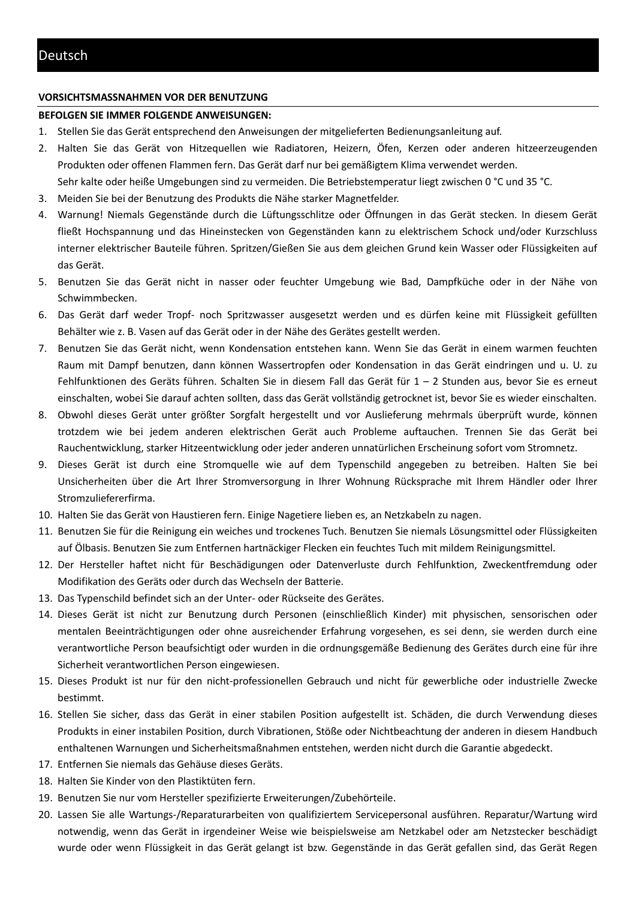### **VORSICHTSMASSNAHMEN VOR DER BENUTZUNG**

### **BEFOLGEN SIE IMMER FOLGENDE ANWEISUNGEN:**

- 1. Stellen Sie das Gerät entsprechend den Anweisungen der mitgelieferten Bedienungsanleitung auf.
- 2. Halten Sie das Gerät von Hitzequellen wie Radiatoren, Heizern, Öfen, Kerzen oder anderen hitzeerzeugenden Produkten oder offenen Flammen fern. Das Gerät darf nur bei gemäßigtem Klima verwendet werden. Sehr kalte oder heiße Umgebungen sind zu vermeiden. Die Betriebstemperatur liegt zwischen 0 °C und 35 °C.
- 3. Meiden Sie bei der Benutzung des Produkts die Nähe starker Magnetfelder.
- 4. Warnung! Niemals Gegenstände durch die Lüftungsschlitze oder Öffnungen in das Gerät stecken. In diesem Gerät fließt Hochspannung und das Hineinstecken von Gegenständen kann zu elektrischem Schock und/oder Kurzschluss interner elektrischer Bauteile führen. Spritzen/Gießen Sie aus dem gleichen Grund kein Wasser oder Flüssigkeiten auf das Gerät.
- 5. Benutzen Sie das Gerät nicht in nasser oder feuchter Umgebung wie Bad, Dampfküche oder in der Nähe von Schwimmbecken.
- 6. Das Gerät darf weder Tropf- noch Spritzwasser ausgesetzt werden und es dürfen keine mit Flüssigkeit gefüllten Behälter wie z. B. Vasen auf das Gerät oder in der Nähe des Gerätes gestellt werden.
- 7. Benutzen Sie das Gerät nicht, wenn Kondensation entstehen kann. Wenn Sie das Gerät in einem warmen feuchten Raum mit Dampf benutzen, dann können Wassertropfen oder Kondensation in das Gerät eindringen und u. U. zu Fehlfunktionen des Geräts führen. Schalten Sie in diesem Fall das Gerät für 1 – 2 Stunden aus, bevor Sie es erneut einschalten, wobei Sie darauf achten sollten, dass das Gerät vollständig getrocknet ist, bevor Sie es wieder einschalten.
- 8. Obwohl dieses Gerät unter größter Sorgfalt hergestellt und vor Auslieferung mehrmals überprüft wurde, können trotzdem wie bei jedem anderen elektrischen Gerät auch Probleme auftauchen. Trennen Sie das Gerät bei Rauchentwicklung, starker Hitzeentwicklung oder jeder anderen unnatürlichen Erscheinung sofort vom Stromnetz.
- 9. Dieses Gerät ist durch eine Stromquelle wie auf dem Typenschild angegeben zu betreiben. Halten Sie bei Unsicherheiten über die Art Ihrer Stromversorgung in Ihrer Wohnung Rücksprache mit Ihrem Händler oder Ihrer Stromzuliefererfirma.
- 10. Halten Sie das Gerät von Haustieren fern. Einige Nagetiere lieben es, an Netzkabeln zu nagen.
- 11. Benutzen Sie für die Reinigung ein weiches und trockenes Tuch. Benutzen Sie niemals Lösungsmittel oder Flüssigkeiten auf Ölbasis. Benutzen Sie zum Entfernen hartnäckiger Flecken ein feuchtes Tuch mit mildem Reinigungsmittel.
- 12. Der Hersteller haftet nicht für Beschädigungen oder Datenverluste durch Fehlfunktion, Zweckentfremdung oder Modifikation des Geräts oder durch das Wechseln der Batterie.
- 13. Das Typenschild befindet sich an der Unter- oder Rückseite des Gerätes.
- 14. Dieses Gerät ist nicht zur Benutzung durch Personen (einschließlich Kinder) mit physischen, sensorischen oder mentalen Beeinträchtigungen oder ohne ausreichender Erfahrung vorgesehen, es sei denn, sie werden durch eine verantwortliche Person beaufsichtigt oder wurden in die ordnungsgemäße Bedienung des Gerätes durch eine für ihre Sicherheit verantwortlichen Person eingewiesen.
- 15. Dieses Produkt ist nur für den nicht-professionellen Gebrauch und nicht für gewerbliche oder industrielle Zwecke bestimmt.
- 16. Stellen Sie sicher, dass das Gerät in einer stabilen Position aufgestellt ist. Schäden, die durch Verwendung dieses Produkts in einer instabilen Position, durch Vibrationen, Stöße oder Nichtbeachtung der anderen in diesem Handbuch enthaltenen Warnungen und Sicherheitsmaßnahmen entstehen, werden nicht durch die Garantie abgedeckt.
- 17. Entfernen Sie niemals das Gehäuse dieses Geräts.
- 18. Halten Sie Kinder von den Plastiktüten fern.
- 19. Benutzen Sie nur vom Hersteller spezifizierte Erweiterungen/Zubehörteile.
- 20. Lassen Sie alle Wartungs-/Reparaturarbeiten von qualifiziertem Servicepersonal ausführen. Reparatur/Wartung wird notwendig, wenn das Gerät in irgendeiner Weise wie beispielsweise am Netzkabel oder am Netzstecker beschädigt wurde oder wenn Flüssigkeit in das Gerät gelangt ist bzw. Gegenstände in das Gerät gefallen sind, das Gerät Regen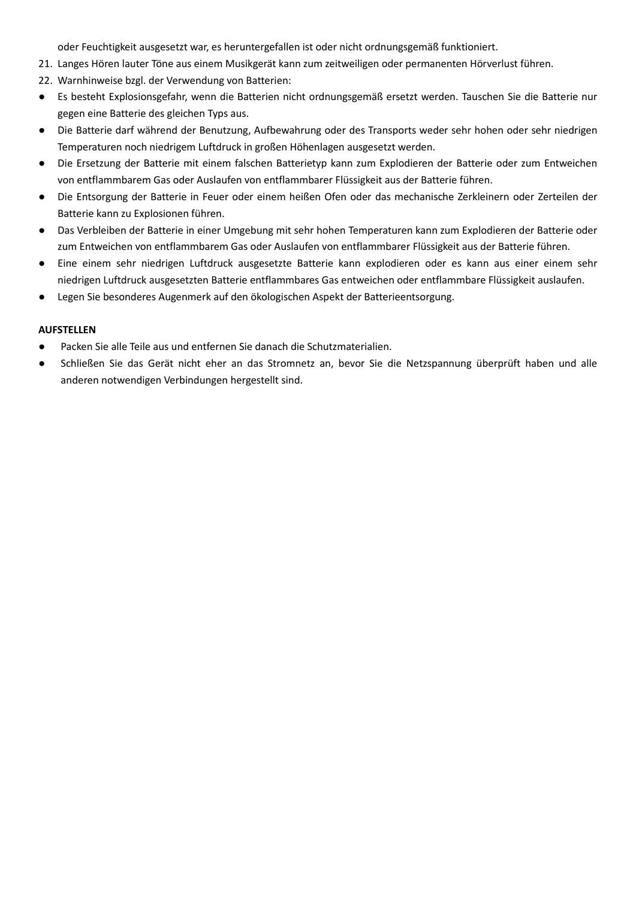oder Feuchtigkeit ausgesetzt war, es heruntergefallen ist oder nicht ordnungsgemäß funktioniert.

- 21. Langes Hören lauter Töne aus einem Musikgerät kann zum zeitweiligen oder permanenten Hörverlust führen.
- 22. Warnhinweise bzgl. der Verwendung von Batterien:
- Es besteht Explosionsgefahr, wenn die Batterien nicht ordnungsgemäß ersetzt werden. Tauschen Sie die Batterie nur gegen eine Batterie des gleichen Typs aus.
- Die Batterie darf während der Benutzung, Aufbewahrung oder des Transports weder sehr hohen oder sehr niedrigen Temperaturen noch niedrigem Luftdruck in großen Höhenlagen ausgesetzt werden.
- Die Ersetzung der Batterie mit einem falschen Batterietyp kann zum Explodieren der Batterie oder zum Entweichen von entflammbarem Gas oder Auslaufen von entflammbarer Flüssigkeit aus der Batterie führen.
- Die Entsorgung der Batterie in Feuer oder einem heißen Ofen oder das mechanische Zerkleinern oder Zerteilen der Batterie kann zu Explosionen führen.
- Das Verbleiben der Batterie in einer Umgebung mit sehr hohen Temperaturen kann zum Explodieren der Batterie oder zum Entweichen von entflammbarem Gas oder Auslaufen von entflammbarer Flüssigkeit aus der Batterie führen.
- Eine einem sehr niedrigen Luftdruck ausgesetzte Batterie kann explodieren oder es kann aus einer einem sehr niedrigen Luftdruck ausgesetzten Batterie entflammbares Gas entweichen oder entflammbare Flüssigkeit auslaufen.
- Legen Sie besonderes Augenmerk auf den ökologischen Aspekt der Batterieentsorgung.

### **AUFSTELLEN**

- Packen Sie alle Teile aus und entfernen Sie danach die Schutzmaterialien.
- Schließen Sie das Gerät nicht eher an das Stromnetz an, bevor Sie die Netzspannung überprüft haben und alle anderen notwendigen Verbindungen hergestellt sind.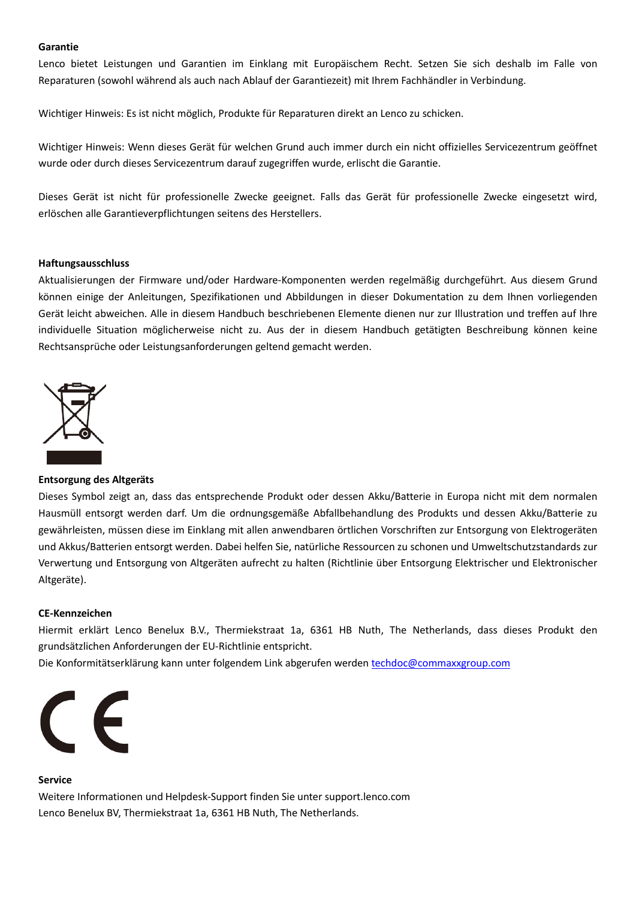#### **Garantie**

Lenco bietet Leistungen und Garantien im Einklang mit Europäischem Recht. Setzen Sie sich deshalb im Falle von Reparaturen (sowohl während als auch nach Ablauf der Garantiezeit) mit Ihrem Fachhändler in Verbindung.

Wichtiger Hinweis: Es ist nicht möglich, Produkte für Reparaturen direkt an Lenco zu schicken.

Wichtiger Hinweis: Wenn dieses Gerät für welchen Grund auch immer durch ein nicht offizielles Servicezentrum geöffnet wurde oder durch dieses Servicezentrum darauf zugegriffen wurde, erlischt die Garantie.

Dieses Gerät ist nicht für professionelle Zwecke geeignet. Falls das Gerät für professionelle Zwecke eingesetzt wird, erlöschen alle Garantieverpflichtungen seitens des Herstellers.

### **Haftungsausschluss**

Aktualisierungen der Firmware und/oder Hardware-Komponenten werden regelmäßig durchgeführt. Aus diesem Grund können einige der Anleitungen, Spezifikationen und Abbildungen in dieser Dokumentation zu dem Ihnen vorliegenden Gerät leicht abweichen. Alle in diesem Handbuch beschriebenen Elemente dienen nur zur Illustration und treffen auf Ihre individuelle Situation möglicherweise nicht zu. Aus der in diesem Handbuch getätigten Beschreibung können keine Rechtsansprüche oder Leistungsanforderungen geltend gemacht werden.



# **Entsorgung des Altgeräts**

Dieses Symbol zeigt an, dass das entsprechende Produkt oder dessen Akku/Batterie in Europa nicht mit dem normalen Hausmüll entsorgt werden darf. Um die ordnungsgemäße Abfallbehandlung des Produkts und dessen Akku/Batterie zu gewährleisten, müssen diese im Einklang mit allen anwendbaren örtlichen Vorschriften zur Entsorgung von Elektrogeräten und Akkus/Batterien entsorgt werden. Dabei helfen Sie, natürliche Ressourcen zu schonen und Umweltschutzstandards zur Verwertung und Entsorgung von Altgeräten aufrecht zu halten (Richtlinie über Entsorgung Elektrischer und Elektronischer Altgeräte).

#### **CE-Kennzeichen**

Hiermit erklärt Lenco Benelux B.V., Thermiekstraat 1a, 6361 HB Nuth, The Netherlands, dass dieses Produkt den grundsätzlichen Anforderungen der EU-Richtlinie entspricht.

Die Konformitätserklärung kann unter folgendem Link abgerufen werden techdoc@commaxxgroup.com



#### **Service**

Weitere Informationen und Helpdesk-Support finden Sie unter support.lenco.com Lenco Benelux BV, Thermiekstraat 1a, 6361 HB Nuth, The Netherlands.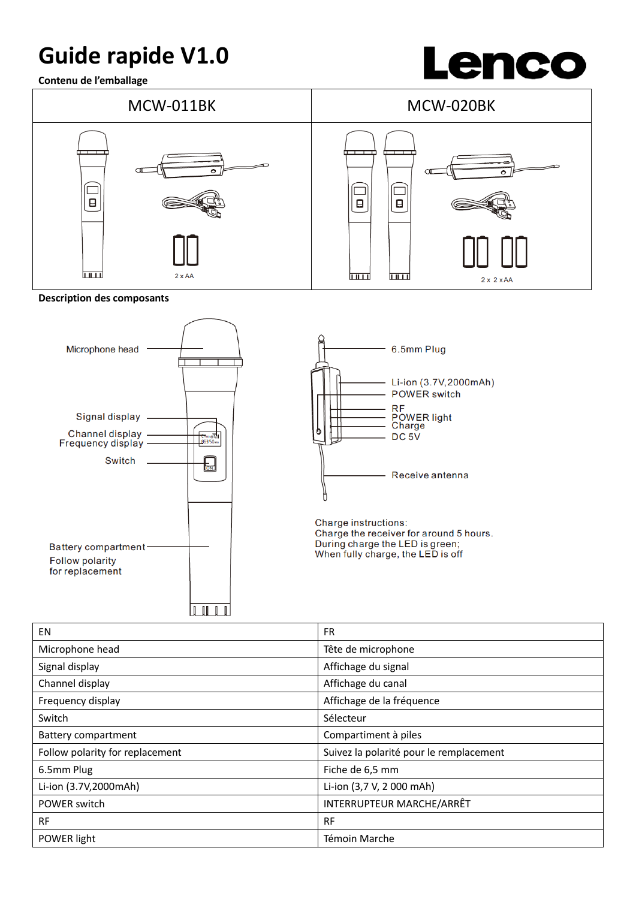# **Guide rapide V1.0**

**Contenu de l'emballage**





**Description des composants**





| EN                              | <b>FR</b>                               |
|---------------------------------|-----------------------------------------|
| Microphone head                 | Tête de microphone                      |
| Signal display                  | Affichage du signal                     |
| Channel display                 | Affichage du canal                      |
| Frequency display               | Affichage de la fréquence               |
| Switch                          | Sélecteur                               |
| <b>Battery compartment</b>      | Compartiment à piles                    |
| Follow polarity for replacement | Suivez la polarité pour le remplacement |
| 6.5mm Plug                      | Fiche de 6,5 mm                         |
| Li-ion (3.7V,2000mAh)           | Li-ion (3,7 V, 2 000 mAh)               |
| POWER switch                    | INTERRUPTEUR MARCHE/ARRÊT               |
| <b>RF</b>                       | <b>RF</b>                               |
| POWER light                     | Témoin Marche                           |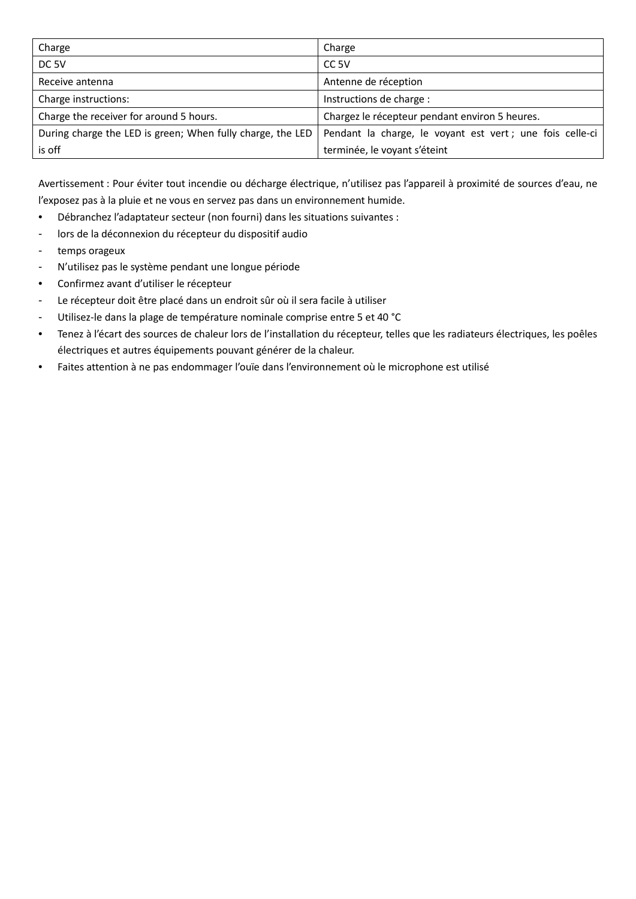| Charge                                                     | Charge                                                    |
|------------------------------------------------------------|-----------------------------------------------------------|
| DC <sub>5V</sub>                                           | CC <sub>5V</sub>                                          |
| Receive antenna                                            | Antenne de réception                                      |
| Charge instructions:                                       | Instructions de charge :                                  |
| Charge the receiver for around 5 hours.                    | Chargez le récepteur pendant environ 5 heures.            |
| During charge the LED is green; When fully charge, the LED | Pendant la charge, le voyant est vert ; une fois celle-ci |
| is off                                                     | terminée, le voyant s'éteint                              |

Avertissement : Pour éviter tout incendie ou décharge électrique, n'utilisez pas l'appareil à proximité de sources d'eau, ne l'exposez pas à la pluie et ne vous en servez pas dans un environnement humide.

- Débranchez l'adaptateur secteur (non fourni) dans les situations suivantes :
- lors de la déconnexion du récepteur du dispositif audio
- temps orageux
- N'utilisez pas le système pendant une longue période
- Confirmez avant d'utiliser le récepteur
- Le récepteur doit être placé dans un endroit sûr où il sera facile à utiliser
- Utilisez-le dans la plage de température nominale comprise entre 5 et 40 °C
- Tenez à l'écart des sources de chaleur lors de l'installation du récepteur, telles que les radiateurs électriques, les poêles électriques et autres équipements pouvant générer de la chaleur.
- Faites attention à ne pas endommager l'ouïe dans l'environnement où le microphone est utilisé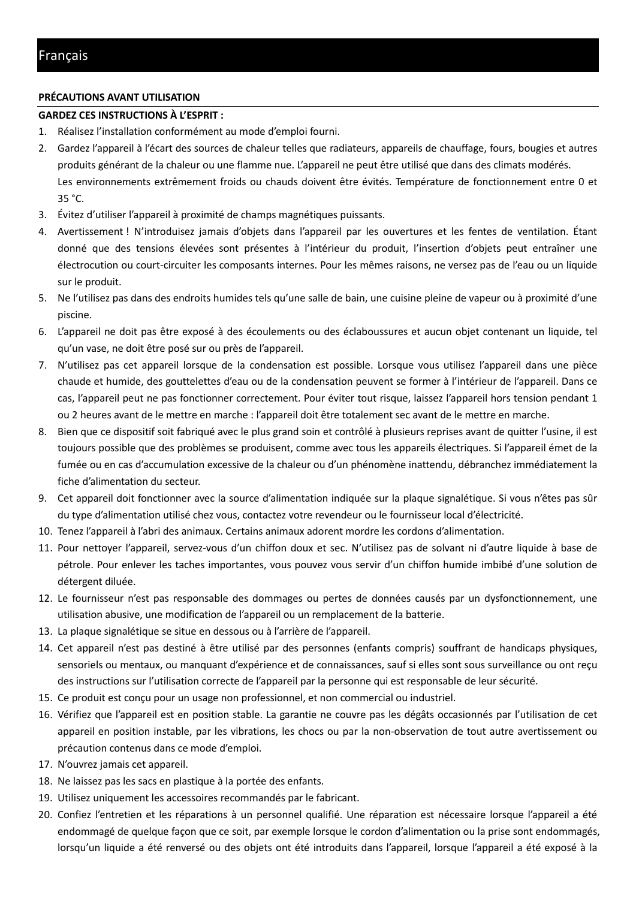# **PRÉCAUTIONS AVANT UTILISATION**

# **GARDEZ CES INSTRUCTIONS À L'ESPRIT :**

- 1. Réalisez l'installation conformément au mode d'emploi fourni.
- 2. Gardez l'appareil à l'écart des sources de chaleur telles que radiateurs, appareils de chauffage, fours, bougies et autres produits générant de la chaleur ou une flamme nue. L'appareil ne peut être utilisé que dans des climats modérés. Les environnements extrêmement froids ou chauds doivent être évités. Température de fonctionnement entre 0 et 35 °C.
- 3. Évitez d'utiliser l'appareil à proximité de champs magnétiques puissants.
- 4. Avertissement ! N'introduisez jamais d'objets dans l'appareil par les ouvertures et les fentes de ventilation. Étant donné que des tensions élevées sont présentes à l'intérieur du produit, l'insertion d'objets peut entraîner une électrocution ou court-circuiter les composants internes. Pour les mêmes raisons, ne versez pas de l'eau ou un liquide sur le produit.
- 5. Ne l'utilisez pas dans des endroits humides tels qu'une salle de bain, une cuisine pleine de vapeur ou à proximité d'une piscine.
- 6. L'appareil ne doit pas être exposé à des écoulements ou des éclaboussures et aucun objet contenant un liquide, tel qu'un vase, ne doit être posé sur ou près de l'appareil.
- 7. N'utilisez pas cet appareil lorsque de la condensation est possible. Lorsque vous utilisez l'appareil dans une pièce chaude et humide, des gouttelettes d'eau ou de la condensation peuvent se former à l'intérieur de l'appareil. Dans ce cas, l'appareil peut ne pas fonctionner correctement. Pour éviter tout risque, laissez l'appareil hors tension pendant 1 ou 2 heures avant de le mettre en marche : l'appareil doit être totalement sec avant de le mettre en marche.
- 8. Bien que ce dispositif soit fabriqué avec le plus grand soin et contrôlé à plusieurs reprises avant de quitter l'usine, il est toujours possible que des problèmes se produisent, comme avec tous les appareils électriques. Si l'appareil émet de la fumée ou en cas d'accumulation excessive de la chaleur ou d'un phénomène inattendu, débranchez immédiatement la fiche d'alimentation du secteur.
- 9. Cet appareil doit fonctionner avec la source d'alimentation indiquée sur la plaque signalétique. Si vous n'êtes pas sûr du type d'alimentation utilisé chez vous, contactez votre revendeur ou le fournisseur local d'électricité.
- 10. Tenez l'appareil à l'abri des animaux. Certains animaux adorent mordre les cordons d'alimentation.
- 11. Pour nettoyer l'appareil, servez-vous d'un chiffon doux et sec. N'utilisez pas de solvant ni d'autre liquide à base de pétrole. Pour enlever les taches importantes, vous pouvez vous servir d'un chiffon humide imbibé d'une solution de détergent diluée.
- 12. Le fournisseur n'est pas responsable des dommages ou pertes de données causés par un dysfonctionnement, une utilisation abusive, une modification de l'appareil ou un remplacement de la batterie.
- 13. La plaque signalétique se situe en dessous ou à l'arrière de l'appareil.
- 14. Cet appareil n'est pas destiné à être utilisé par des personnes (enfants compris) souffrant de handicaps physiques, sensoriels ou mentaux, ou manquant d'expérience et de connaissances, sauf si elles sont sous surveillance ou ont reçu des instructions sur l'utilisation correcte de l'appareil par la personne qui est responsable de leur sécurité.
- 15. Ce produit est conçu pour un usage non professionnel, et non commercial ou industriel.
- 16. Vérifiez que l'appareil est en position stable. La garantie ne couvre pas les dégâts occasionnés par l'utilisation de cet appareil en position instable, par les vibrations, les chocs ou par la non-observation de tout autre avertissement ou précaution contenus dans ce mode d'emploi.
- 17. N'ouvrez jamais cet appareil.
- 18. Ne laissez pas les sacs en plastique à la portée des enfants.
- 19. Utilisez uniquement les accessoires recommandés par le fabricant.
- 20. Confiez l'entretien et les réparations à un personnel qualifié. Une réparation est nécessaire lorsque l'appareil a été endommagé de quelque façon que ce soit, par exemple lorsque le cordon d'alimentation ou la prise sont endommagés, lorsqu'un liquide a été renversé ou des objets ont été introduits dans l'appareil, lorsque l'appareil a été exposé à la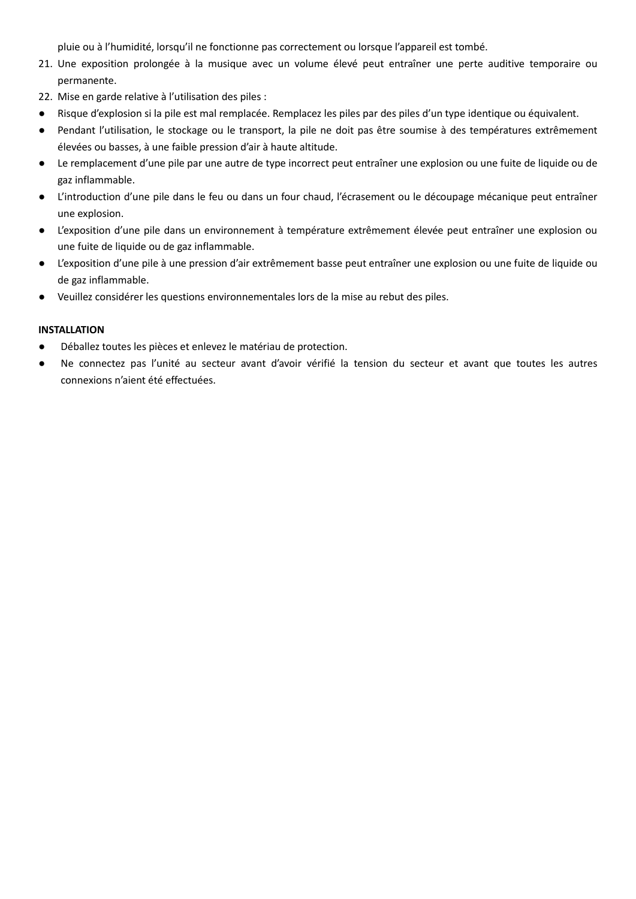pluie ou à l'humidité, lorsqu'il ne fonctionne pas correctement ou lorsque l'appareil est tombé.

- 21. Une exposition prolongée à la musique avec un volume élevé peut entraîner une perte auditive temporaire ou permanente.
- 22. Mise en garde relative à l'utilisation des piles :
- Risque d'explosion si la pile est mal remplacée. Remplacez les piles par des piles d'un type identique ou équivalent.
- Pendant l'utilisation, le stockage ou le transport, la pile ne doit pas être soumise à des températures extrêmement élevées ou basses, à une faible pression d'air à haute altitude.
- Le remplacement d'une pile par une autre de type incorrect peut entraîner une explosion ou une fuite de liquide ou de gaz inflammable.
- L'introduction d'une pile dans le feu ou dans un four chaud, l'écrasement ou le découpage mécanique peut entraîner une explosion.
- L'exposition d'une pile dans un environnement à température extrêmement élevée peut entraîner une explosion ou une fuite de liquide ou de gaz inflammable.
- L'exposition d'une pile à une pression d'air extrêmement basse peut entraîner une explosion ou une fuite de liquide ou de gaz inflammable.
- Veuillez considérer les questions environnementales lors de la mise au rebut des piles.

# **INSTALLATION**

- Déballez toutes les pièces et enlevez le matériau de protection.
- Ne connectez pas l'unité au secteur avant d'avoir vérifié la tension du secteur et avant que toutes les autres connexions n'aient été effectuées.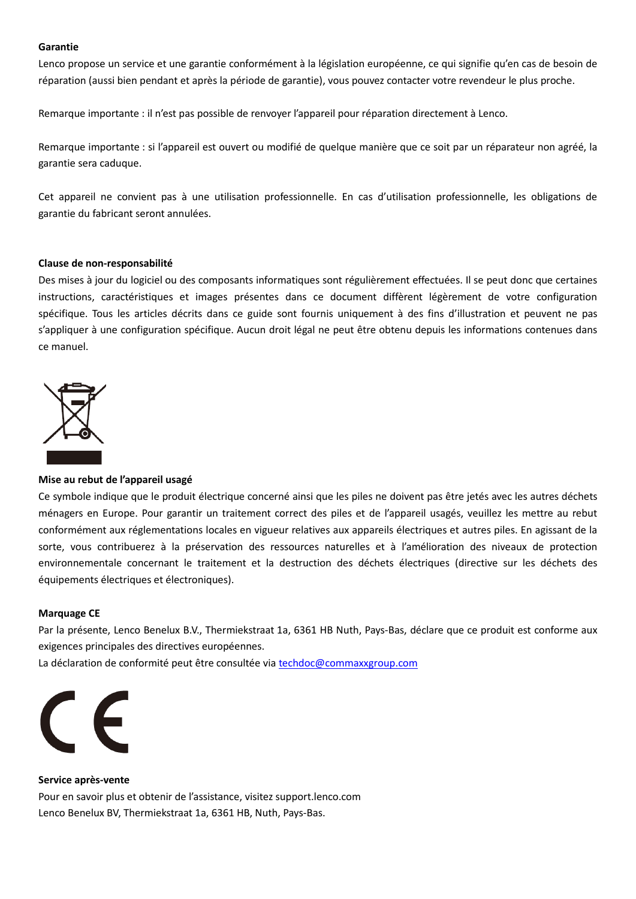#### **Garantie**

Lenco propose un service et une garantie conformément à la législation européenne, ce qui signifie qu'en cas de besoin de réparation (aussi bien pendant et après la période de garantie), vous pouvez contacter votre revendeur le plus proche.

Remarque importante : il n'est pas possible de renvoyer l'appareil pour réparation directement à Lenco.

Remarque importante : si l'appareil est ouvert ou modifié de quelque manière que ce soit par un réparateur non agréé, la garantie sera caduque.

Cet appareil ne convient pas à une utilisation professionnelle. En cas d'utilisation professionnelle, les obligations de garantie du fabricant seront annulées.

### **Clause de non-responsabilité**

Des mises à jour du logiciel ou des composants informatiques sont régulièrement effectuées. Il se peut donc que certaines instructions, caractéristiques et images présentes dans ce document diffèrent légèrement de votre configuration spécifique. Tous les articles décrits dans ce guide sont fournis uniquement à des fins d'illustration et peuvent ne pas s'appliquer à une configuration spécifique. Aucun droit légal ne peut être obtenu depuis les informations contenues dans ce manuel.



# **Mise au rebut de l'appareil usagé**

Ce symbole indique que le produit électrique concerné ainsi que les piles ne doivent pas être jetés avec les autres déchets ménagers en Europe. Pour garantir un traitement correct des piles et de l'appareil usagés, veuillez les mettre au rebut conformément aux réglementations locales en vigueur relatives aux appareils électriques et autres piles. En agissant de la sorte, vous contribuerez à la préservation des ressources naturelles et à l'amélioration des niveaux de protection environnementale concernant le traitement et la destruction des déchets électriques (directive sur les déchets des équipements électriques et électroniques).

#### **Marquage CE**

Par la présente, Lenco Benelux B.V., Thermiekstraat 1a, 6361 HB Nuth, Pays-Bas, déclare que ce produit est conforme aux exigences principales des directives européennes.

La déclaration de conformité peut être consultée via techdoc@commaxxgroup.com



**Service après-vente** Pour en savoir plus et obtenir de l'assistance, visitez support.lenco.com Lenco Benelux BV, Thermiekstraat 1a, 6361 HB, Nuth, Pays-Bas.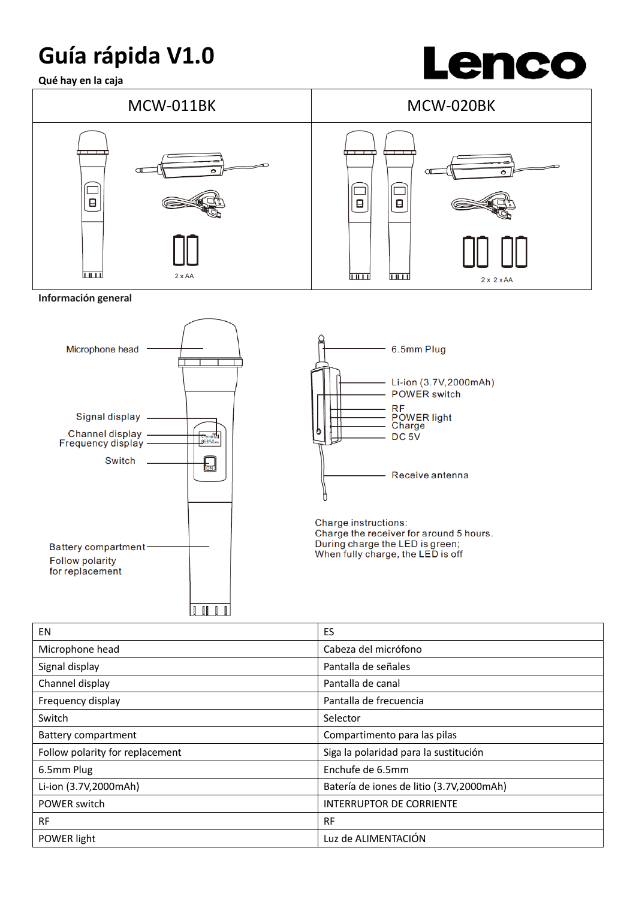# **Guía rápida V1.0**

**Qué hay en la caja**





**Información general** 





| EN                              | ES                                       |
|---------------------------------|------------------------------------------|
| Microphone head                 | Cabeza del micrófono                     |
| Signal display                  | Pantalla de señales                      |
| Channel display                 | Pantalla de canal                        |
| Frequency display               | Pantalla de frecuencia                   |
| Switch                          | Selector                                 |
| <b>Battery compartment</b>      | Compartimento para las pilas             |
| Follow polarity for replacement | Siga la polaridad para la sustitución    |
| 6.5mm Plug                      | Enchufe de 6.5mm                         |
| Li-ion (3.7V,2000mAh)           | Batería de iones de litio (3.7V,2000mAh) |
| POWER switch                    | <b>INTERRUPTOR DE CORRIENTE</b>          |
| <b>RF</b>                       | <b>RF</b>                                |
| POWER light                     | Luz de ALIMENTACIÓN                      |
|                                 |                                          |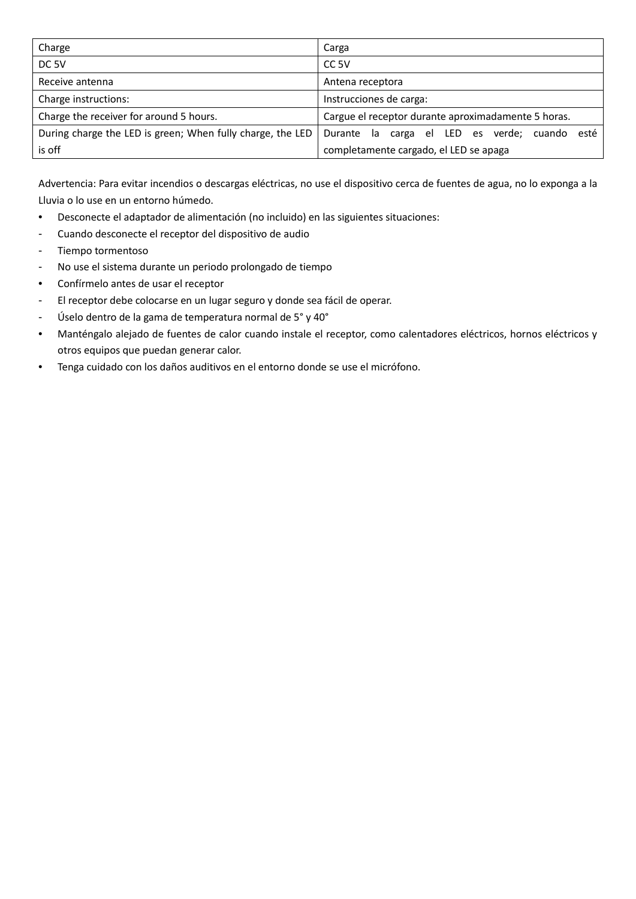| Charge                                                     | Carga                                               |
|------------------------------------------------------------|-----------------------------------------------------|
| DC <sub>5V</sub>                                           | CC <sub>5V</sub>                                    |
| Receive antenna                                            | Antena receptora                                    |
| Charge instructions:                                       | Instrucciones de carga:                             |
| Charge the receiver for around 5 hours.                    | Cargue el receptor durante aproximadamente 5 horas. |
| During charge the LED is green; When fully charge, the LED | Durante la carga el LED es verde; cuando esté       |
| is off                                                     | completamente cargado, el LED se apaga              |

Advertencia: Para evitar incendios o descargas eléctricas, no use el dispositivo cerca de fuentes de agua, no lo exponga a la Lluvia o lo use en un entorno húmedo.

- Desconecte el adaptador de alimentación (no incluido) en las siguientes situaciones:
- Cuando desconecte el receptor del dispositivo de audio
- Tiempo tormentoso
- No use el sistema durante un periodo prolongado de tiempo
- Confírmelo antes de usar el receptor
- El receptor debe colocarse en un lugar seguro y donde sea fácil de operar.
- Úselo dentro de la gama de temperatura normal de 5° y 40°
- Manténgalo alejado de fuentes de calor cuando instale el receptor, como calentadores eléctricos, hornos eléctricos y otros equipos que puedan generar calor.
- Tenga cuidado con los daños auditivos en el entorno donde se use el micrófono.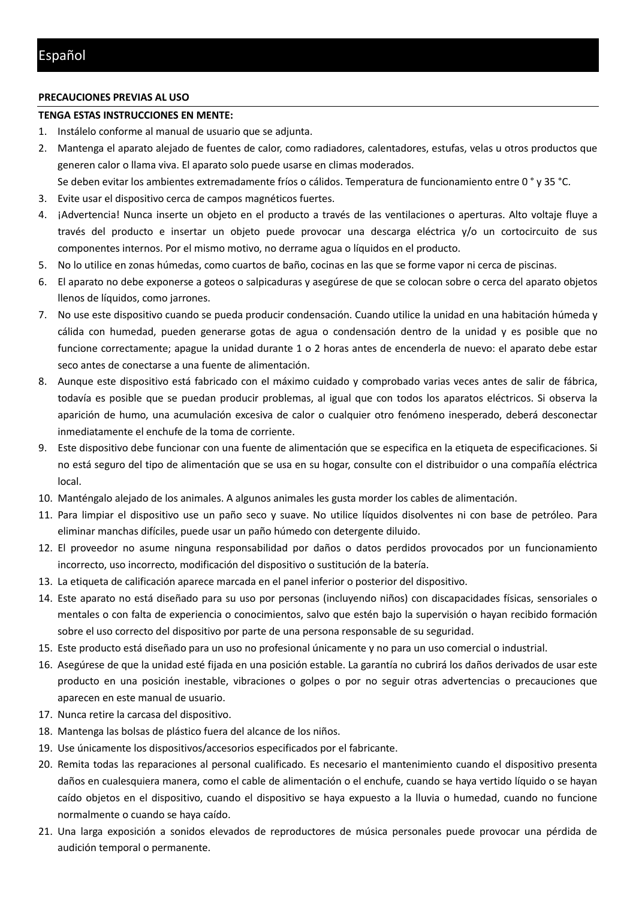#### **PRECAUCIONES PREVIAS AL USO**

### **TENGA ESTAS INSTRUCCIONES EN MENTE:**

- 1. Instálelo conforme al manual de usuario que se adjunta.
- 2. Mantenga el aparato alejado de fuentes de calor, como radiadores, calentadores, estufas, velas u otros productos que generen calor o llama viva. El aparato solo puede usarse en climas moderados.
- Se deben evitar los ambientes extremadamente fríos o cálidos. Temperatura de funcionamiento entre 0 ° y 35 °C.
- 3. Evite usar el dispositivo cerca de campos magnéticos fuertes.
- 4. ¡Advertencia! Nunca inserte un objeto en el producto a través de las ventilaciones o aperturas. Alto voltaje fluye a través del producto e insertar un objeto puede provocar una descarga eléctrica y/o un cortocircuito de sus componentes internos. Por el mismo motivo, no derrame agua o líquidos en el producto.
- 5. No lo utilice en zonas húmedas, como cuartos de baño, cocinas en las que se forme vapor ni cerca de piscinas.
- 6. El aparato no debe exponerse a goteos o salpicaduras y asegúrese de que se colocan sobre o cerca del aparato objetos llenos de líquidos, como jarrones.
- 7. No use este dispositivo cuando se pueda producir condensación. Cuando utilice la unidad en una habitación húmeda y cálida con humedad, pueden generarse gotas de agua o condensación dentro de la unidad y es posible que no funcione correctamente; apague la unidad durante 1 o 2 horas antes de encenderla de nuevo: el aparato debe estar seco antes de conectarse a una fuente de alimentación.
- 8. Aunque este dispositivo está fabricado con el máximo cuidado y comprobado varias veces antes de salir de fábrica, todavía es posible que se puedan producir problemas, al igual que con todos los aparatos eléctricos. Si observa la aparición de humo, una acumulación excesiva de calor o cualquier otro fenómeno inesperado, deberá desconectar inmediatamente el enchufe de la toma de corriente.
- 9. Este dispositivo debe funcionar con una fuente de alimentación que se especifica en la etiqueta de especificaciones. Si no está seguro del tipo de alimentación que se usa en su hogar, consulte con el distribuidor o una compañía eléctrica local.
- 10. Manténgalo alejado de los animales. A algunos animales les gusta morder los cables de alimentación.
- 11. Para limpiar el dispositivo use un paño seco y suave. No utilice líquidos disolventes ni con base de petróleo. Para eliminar manchas difíciles, puede usar un paño húmedo con detergente diluido.
- 12. El proveedor no asume ninguna responsabilidad por daños o datos perdidos provocados por un funcionamiento incorrecto, uso incorrecto, modificación del dispositivo o sustitución de la batería.
- 13. La etiqueta de calificación aparece marcada en el panel inferior o posterior del dispositivo.
- 14. Este aparato no está diseñado para su uso por personas (incluyendo niños) con discapacidades físicas, sensoriales o mentales o con falta de experiencia o conocimientos, salvo que estén bajo la supervisión o hayan recibido formación sobre el uso correcto del dispositivo por parte de una persona responsable de su seguridad.
- 15. Este producto está diseñado para un uso no profesional únicamente y no para un uso comercial o industrial.
- 16. Asegúrese de que la unidad esté fijada en una posición estable. La garantía no cubrirá los daños derivados de usar este producto en una posición inestable, vibraciones o golpes o por no seguir otras advertencias o precauciones que aparecen en este manual de usuario.
- 17. Nunca retire la carcasa del dispositivo.
- 18. Mantenga las bolsas de plástico fuera del alcance de los niños.
- 19. Use únicamente los dispositivos/accesorios especificados por el fabricante.
- 20. Remita todas las reparaciones al personal cualificado. Es necesario el mantenimiento cuando el dispositivo presenta daños en cualesquiera manera, como el cable de alimentación o el enchufe, cuando se haya vertido líquido o se hayan caído objetos en el dispositivo, cuando el dispositivo se haya expuesto a la lluvia o humedad, cuando no funcione normalmente o cuando se haya caído.
- 21. Una larga exposición a sonidos elevados de reproductores de música personales puede provocar una pérdida de audición temporal o permanente.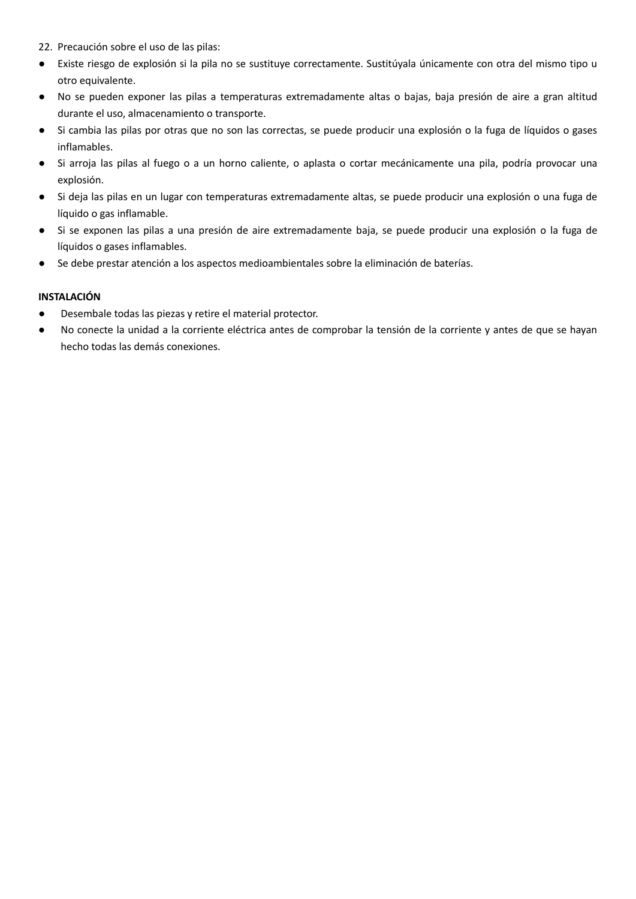- 22. Precaución sobre el uso de las pilas:
- Existe riesgo de explosión si la pila no se sustituye correctamente. Sustitúyala únicamente con otra del mismo tipo u otro equivalente.
- No se pueden exponer las pilas a temperaturas extremadamente altas o bajas, baja presión de aire a gran altitud durante el uso, almacenamiento o transporte.
- Si cambia las pilas por otras que no son las correctas, se puede producir una explosión o la fuga de líquidos o gases inflamables.
- Si arroja las pilas al fuego o a un horno caliente, o aplasta o cortar mecánicamente una pila, podría provocar una explosión.
- Si deja las pilas en un lugar con temperaturas extremadamente altas, se puede producir una explosión o una fuga de líquido o gas inflamable.
- Si se exponen las pilas a una presión de aire extremadamente baja, se puede producir una explosión o la fuga de líquidos o gases inflamables.
- Se debe prestar atención a los aspectos medioambientales sobre la eliminación de baterías.

### **INSTALACIÓN**

- Desembale todas las piezas y retire el material protector.
- No conecte la unidad a la corriente eléctrica antes de comprobar la tensión de la corriente y antes de que se hayan hecho todas las demás conexiones.